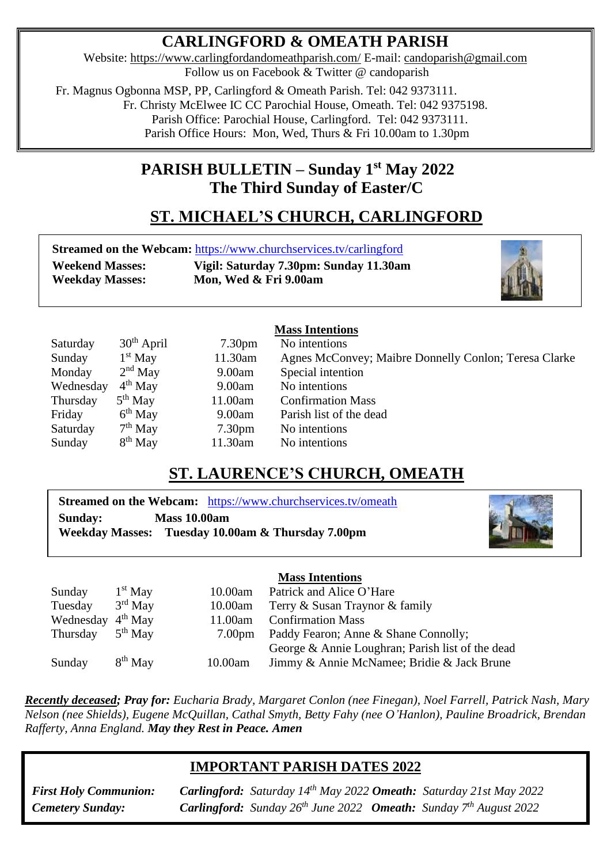## **CARLINGFORD & OMEATH PARISH**

Website:<https://www.carlingfordandomeathparish.com/> E-mail: [candoparish@gmail.com](mailto:candoparish@gmail.com) Follow us on Facebook & Twitter @ candoparish

 Fr. Magnus Ogbonna MSP, PP, Carlingford & Omeath Parish. Tel: 042 9373111. Fr. Christy McElwee IC CC Parochial House, Omeath. Tel: 042 9375198.

Parish Office: Parochial House, Carlingford. Tel: 042 9373111.

Parish Office Hours: Mon, Wed, Thurs & Fri 10.00am to 1.30pm

## **PARISH BULLETIN – Sunday 1 st May 2022 The Third Sunday of Easter/C**

# **ST. MICHAEL'S CHURCH, CARLINGFORD**

|                        | <b>Streamed on the Webcam: https://www.churchservices.tv/carlingford</b> |
|------------------------|--------------------------------------------------------------------------|
| <b>Weekend Masses:</b> | Vigil: Saturday 7.30pm: Sunday 11.30am                                   |
| <b>Weekday Masses:</b> | Mon, Wed & Fri 9.00am                                                    |



### **Mass Intentions**

| Saturday  | $30th$ April | 7.30 <sub>pm</sub> | No intentions                                         |
|-----------|--------------|--------------------|-------------------------------------------------------|
| Sunday    | $1st$ May    | 11.30am            | Agnes McConvey; Maibre Donnelly Conlon; Teresa Clarke |
| Monday    | $2nd$ May    | 9.00am             | Special intention                                     |
| Wednesday | $4th$ May    | 9.00am             | No intentions                                         |
| Thursday  | $5th$ May    | 11.00am            | <b>Confirmation Mass</b>                              |
| Friday    | $6th$ May    | 9.00am             | Parish list of the dead                               |
| Saturday  | $7th$ May    | 7.30 <sub>pm</sub> | No intentions                                         |
| Sunday    | $8th$ May    | 11.30am            | No intentions                                         |

## **ST. LAURENCE'S CHURCH, OMEATH**

**Streamed on the Webcam:** <https://www.churchservices.tv/omeath> **Sunday: Mass 10.00am Weekday Masses: Tuesday 10.00am & Thursday 7.00pm**



### **Mass Intentions**

|                               |           |                    | писко писсипоно                                  |
|-------------------------------|-----------|--------------------|--------------------------------------------------|
| Sunday                        | $1st$ May | 10.00am            | Patrick and Alice O'Hare                         |
| Tuesday                       | $3rd$ May | 10.00am            | Terry & Susan Traynor & family                   |
| Wednesday 4 <sup>th</sup> May |           | 11.00am            | <b>Confirmation Mass</b>                         |
| Thursday                      | $5th$ May | 7.00 <sub>pm</sub> | Paddy Fearon; Anne & Shane Connolly;             |
|                               |           |                    | George & Annie Loughran; Parish list of the dead |
| Sunday                        | $8th$ May | 10.00am            | Jimmy & Annie McNamee; Bridie & Jack Brune       |
|                               |           |                    |                                                  |

*Recently deceased; Pray for: Eucharia Brady, Margaret Conlon (nee Finegan), Noel Farrell, Patrick Nash, Mary Nelson (nee Shields), Eugene McQuillan, Cathal Smyth, Betty Fahy (nee O'Hanlon), Pauline Broadrick, Brendan Rafferty, Anna England. May they Rest in Peace. Amen*  

## **IMPORTANT PARISH DATES 2022**

**First Holy Communion:**<br>*Cemetery Sunday:* 

**First Holy Communion: Carlingford:** Saturday 14<sup>th</sup> May 2022 **Omeath:** Saturday 21st May 2022 *Cemetery Sunday: Carlingford: Sunday 26th June 2022 Omeath: Sunday 7th August 2022*